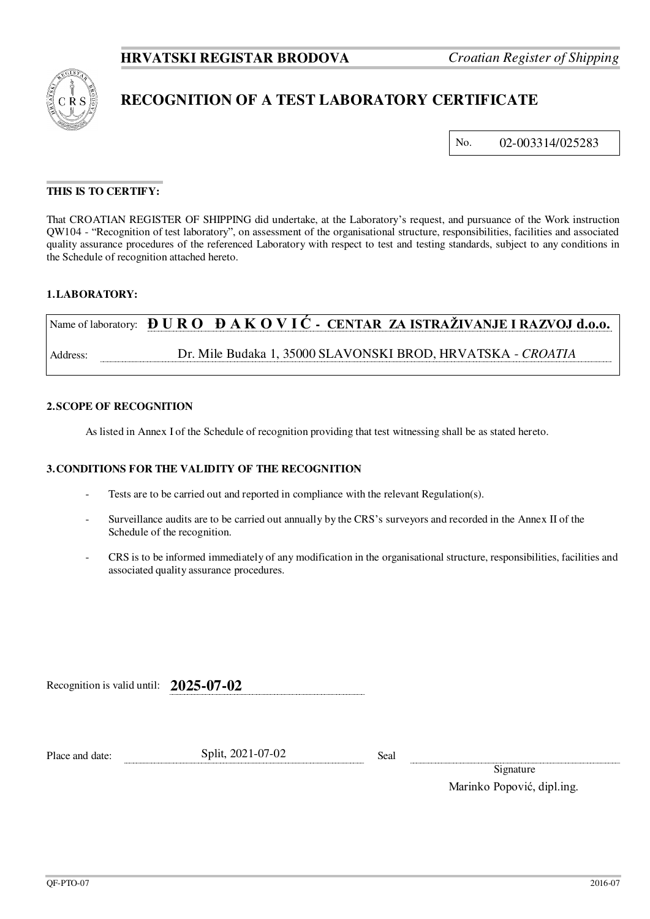

# **RECOGNITION OF A TEST LABORATORY CERTIFICATE**

No. 02-003314/025283

## **THIS IS TO CERTIFY:**

That CROATIAN REGISTER OF SHIPPING did undertake, at the Laboratory's request, and pursuance of the Work instruction QW104 - "Recognition of test laboratory", on assessment of the organisational structure, responsibilities, facilities and associated quality assurance procedures of the referenced Laboratory with respect to test and testing standards, subject to any conditions in the Schedule of recognition attached hereto.

#### **1. LABORATORY:**

|          | Name of laboratory: $\bf{D} \, \bf{U} \, \bf{R} \, \bf{O}$ $\bf{D} \, \bf{A} \, \bf{K} \, \bf{O} \, \bf{V} \, \bf{I} \, \dot{\bf{C}}$ - CENTAR ZA ISTRAŽIVANJE I RAZVOJ d.o.o. |
|----------|--------------------------------------------------------------------------------------------------------------------------------------------------------------------------------|
| Address: | Dr. Mile Budaka 1, 35000 SLAVONSKI BROD, HRVATSKA - CROATIA                                                                                                                    |

### **2. SCOPE OF RECOGNITION**

As listed in Annex I of the Schedule of recognition providing that test witnessing shall be as stated hereto.

#### **3. CONDITIONS FOR THE VALIDITY OF THE RECOGNITION**

- Tests are to be carried out and reported in compliance with the relevant Regulation(s).
- Surveillance audits are to be carried out annually by the CRS's surveyors and recorded in the Annex II of the Schedule of the recognition.
- CRS is to be informed immediately of any modification in the organisational structure, responsibilities, facilities and associated quality assurance procedures.

Recognition is valid until: **2025-07-02**

| Place and date: | Split, 2021-07-02 | Seal |
|-----------------|-------------------|------|
|-----------------|-------------------|------|

**Signature** Marinko Popović, dipl.ing.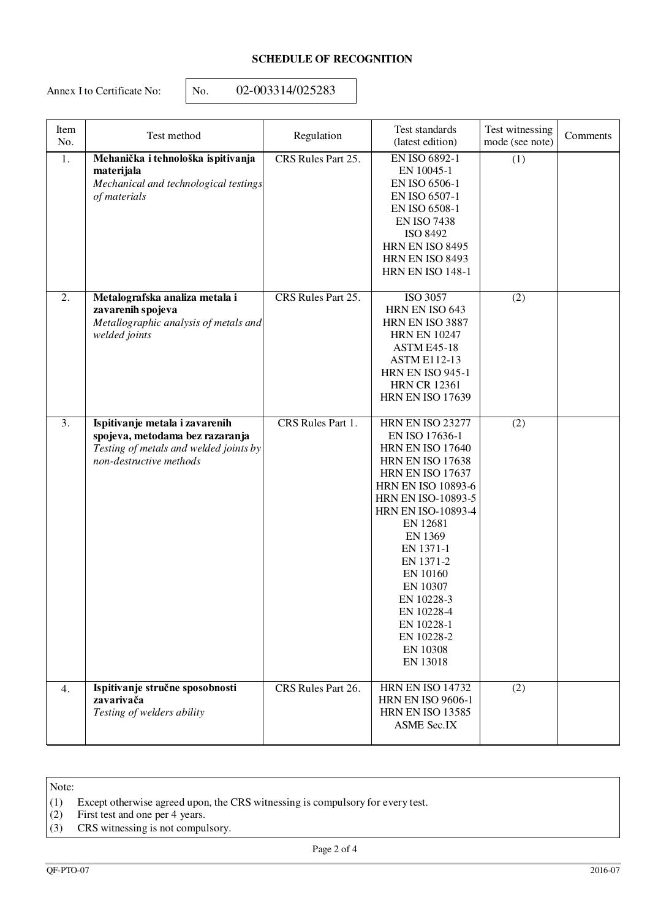# **SCHEDULE OF RECOGNITION**

Annex I to Certificate No: <br> No. 02-003314/025283

| Item<br>No. | Test method                                                                                                                            | Regulation         | Test standards<br>(latest edition)                                                                                                                                                                                                                                                                                                                                         | Test witnessing<br>mode (see note) | Comments |
|-------------|----------------------------------------------------------------------------------------------------------------------------------------|--------------------|----------------------------------------------------------------------------------------------------------------------------------------------------------------------------------------------------------------------------------------------------------------------------------------------------------------------------------------------------------------------------|------------------------------------|----------|
| 1.          | Mehanička i tehnološka ispitivanja<br>materijala<br>Mechanical and technological testings<br>of materials                              | CRS Rules Part 25. | EN ISO 6892-1<br>EN 10045-1<br>EN ISO 6506-1<br>EN ISO 6507-1<br>EN ISO 6508-1<br><b>EN ISO 7438</b><br>ISO 8492<br><b>HRN EN ISO 8495</b><br><b>HRN EN ISO 8493</b><br><b>HRN EN ISO 148-1</b>                                                                                                                                                                            | (1)                                |          |
| 2.          | Metalografska analiza metala i<br>zavarenih spojeva<br>Metallographic analysis of metals and<br>welded joints                          | CRS Rules Part 25. | <b>ISO 3057</b><br>HRN EN ISO 643<br>HRN EN ISO 3887<br><b>HRN EN 10247</b><br><b>ASTM E45-18</b><br><b>ASTM E112-13</b><br><b>HRN EN ISO 945-1</b><br><b>HRN CR 12361</b><br><b>HRN EN ISO 17639</b>                                                                                                                                                                      | (2)                                |          |
| 3.          | Ispitivanje metala i zavarenih<br>spojeva, metodama bez razaranja<br>Testing of metals and welded joints by<br>non-destructive methods | CRS Rules Part 1.  | <b>HRN EN ISO 23277</b><br>EN ISO 17636-1<br><b>HRN EN ISO 17640</b><br><b>HRN EN ISO 17638</b><br><b>HRN EN ISO 17637</b><br><b>HRN EN ISO 10893-6</b><br><b>HRN EN ISO-10893-5</b><br><b>HRN EN ISO-10893-4</b><br>EN 12681<br>EN 1369<br>EN 1371-1<br>EN 1371-2<br>EN 10160<br>EN 10307<br>EN 10228-3<br>EN 10228-4<br>EN 10228-1<br>EN 10228-2<br>EN 10308<br>EN 13018 | (2)                                |          |
| 4.          | Ispitivanje stručne sposobnosti<br>zavarivača<br>Testing of welders ability                                                            | CRS Rules Part 26. | <b>HRN EN ISO 14732</b><br><b>HRN EN ISO 9606-1</b><br><b>HRN EN ISO 13585</b><br><b>ASME Sec.IX</b>                                                                                                                                                                                                                                                                       | (2)                                |          |

Note:

(1) Except otherwise agreed upon, the CRS witnessing is compulsory for every test.

(2) First test and one per 4 years.

(3) CRS witnessing is not compulsory.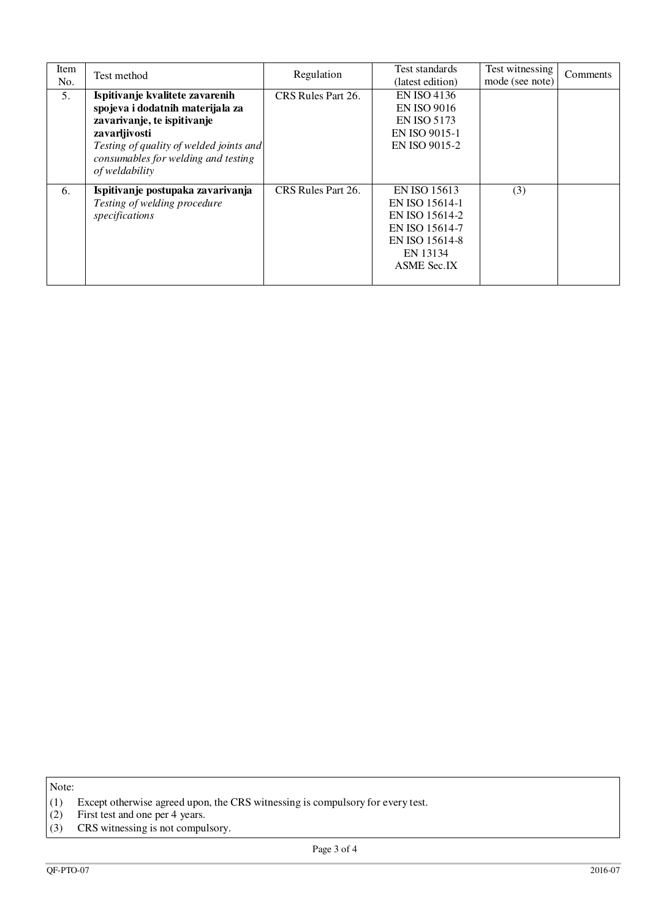| Item<br>No. | Test method                                                                                                                                                                                                             | Regulation         | Test standards<br>(latest edition)                                                                                     | Test witnessing<br>mode (see note) | Comments |
|-------------|-------------------------------------------------------------------------------------------------------------------------------------------------------------------------------------------------------------------------|--------------------|------------------------------------------------------------------------------------------------------------------------|------------------------------------|----------|
| 5.          | Ispitivanje kvalitete zavarenih<br>spojeva i dodatnih materijala za<br>zavarivanje, te ispitivanje<br>zavarljivosti<br>Testing of quality of welded joints and<br>consumables for welding and testing<br>of weldability | CRS Rules Part 26. | <b>EN ISO 4136</b><br><b>EN ISO 9016</b><br><b>EN ISO 5173</b><br>EN ISO 9015-1<br>EN ISO 9015-2                       |                                    |          |
| 6.          | Ispitivanje postupaka zavarivanja<br>Testing of welding procedure<br>specifications                                                                                                                                     | CRS Rules Part 26. | EN ISO 15613<br>EN ISO 15614-1<br>EN ISO 15614-2<br>EN ISO 15614-7<br>EN ISO 15614-8<br>EN 13134<br><b>ASME Sec.IX</b> | (3)                                |          |

(1) Except otherwise agreed upon, the CRS witnessing is compulsory for every test.

Note:<br>(1)<br>(2) (2) First test and one per 4 years.

(3) CRS witnessing is not compulsory.

Page 3 of 4